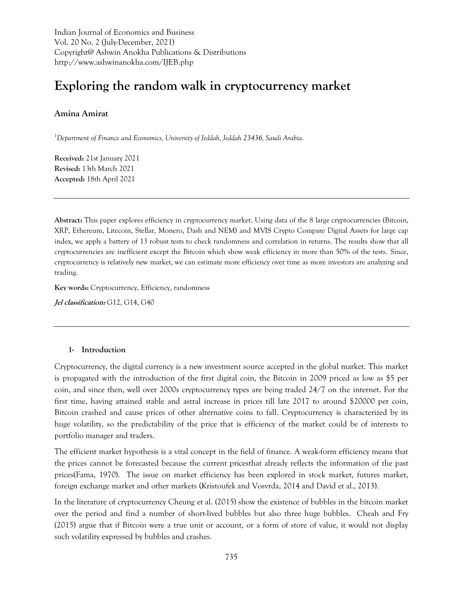Indian Journal of Economics and Business Vol. 20 No. 2 (July-December, 2021) Copyright@ Ashwin Anokha Publications & Distributions http://www.ashwinanokha.com/IJEB.php

# **Exploring the random walk in cryptocurrency market**

### **Amina Amirat**

*<sup>1</sup>Department of Finance and Economics, University of Jeddah, Jeddah 23436, Saudi Arabia.*

**Received:** 21st January 2021 **Revised:** 13th March 2021 **Accepted:** 18th April 2021

**Abstract:** This paper explores efficiency in cryptocurrency market. Using data of the 8 large cryptocurrencies (Bitcoin, XRP, Ethereum, Litecoin, Stellar, Monero, Dash and NEM) and MVIS Crypto Compare Digital Assets for large cap index, we apply a battery of 13 robust tests to check randomness and correlation in returns. The results show that all cryptocurrencies are inefficient except the Bitcoin which show weak efficiency in more than 50% of the tests. Since, cryptocurrency is relatively new market, we can estimate more efficiency over time as more investors are analyzing and trading.

**Key words:** Cryptocurrency, Efficiency, randomness

**Jel classification:** G12, G14, G40

#### **1- Introduction**

Cryptocurrency, the digital currency is a new investment source accepted in the global market. This market is propagated with the introduction of the first digital coin, the Bitcoin in 2009 priced as low as \$5 per coin, and since then, well over 2000s cryptocurrency types are being traded 24/7 on the internet. For the first time, having attained stable and astral increase in prices till late 2017 to around \$20000 per coin, Bitcoin crashed and cause prices of other alternative coins to fall. Cryptocurrency is characterized by its huge volatility, so the predictability of the price that is efficiency of the market could be of interests to portfolio manager and traders.

The efficient market hypothesis is a vital concept in the field of finance. A weak-form efficiency means that the prices cannot be forecasted because the current pricesthat already reflects the information of the past prices(Fama, 1970). The issue on market efficiency has been explored in stock market, futures market, foreign exchange market and other markets (Kristoufek and Vosvrda, 2014 and David et al., 2013).

In the literature of cryptocurrency Cheung et al. (2015) show the existence of bubbles in the bitcoin market over the period and find a number of short-lived bubbles but also three huge bubbles. Cheah and Fry (2015) argue that if Bitcoin were a true unit or account, or a form of store of value, it would not display such volatility expressed by bubbles and crashes.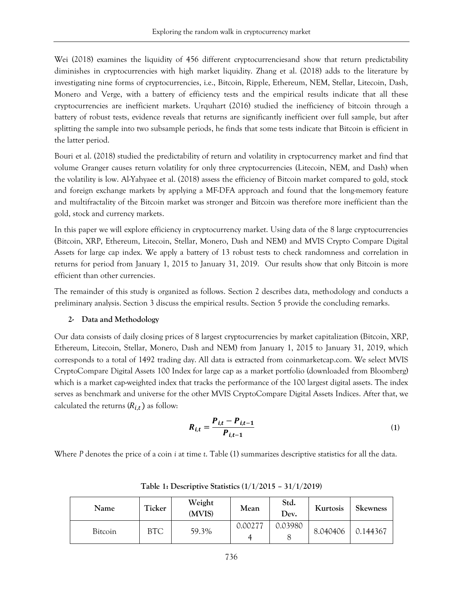Wei (2018) examines the liquidity of 456 different cryptocurrencies and show that return predictability diminishes in cryptocurrencies with high market liquidity. Zhang et al. (2018) adds to the literature by investigating nine forms of cryptocurrencies, i.e., Bitcoin, Ripple, Ethereum, NEM, Stellar, Litecoin, Dash, Monero and Verge, with a battery of efficiency tests and the empirical results indicate that all these cryptocurrencies are inefficient markets. Urquhart (2016) studied the inefficiency of bitcoin through a battery of robust tests, evidence reveals that returns are significantly inefficient over full sample, but after splitting the sample into two subsample periods, he finds that some tests indicate that Bitcoin is efficient in the latter period.

Bouri et al. (2018) studied the predictability of return and volatility in cryptocurrency market and find that volume Granger causes return volatility for only three cryptocurrencies (Litecoin, NEM, and Dash) when the volatility is low. Al-Yahyaee et al. (2018) assess the efficiency of Bitcoin market compared to gold, stock and foreign exchange markets by applying a MF-DFA approach and found that the long-memory feature and multifractality of the Bitcoin market was stronger and Bitcoin was therefore more inefficient than the gold, stock and currency markets.

In this paper we will explore efficiency in cryptocurrency market. Using data of the 8 large cryptocurrencies (Bitcoin, XRP, Ethereum, Litecoin, Stellar, Monero, Dash and NEM) and MVIS Crypto Compare Digital Assets for large cap index. We apply a battery of 13 robust tests to check randomness and correlation in returns for period from January 1, 2015 to January 31, 2019. Our results show that only Bitcoin is more efficient than other currencies.

The remainder of this study is organized as follows. Section 2 describes data, methodology and conducts a preliminary analysis. Section 3 discuss the empirical results. Section 5 provide the concluding remarks.

## **2- Data and Methodology**

Our data consists of daily closing prices of 8 largest cryptocurrencies by market capitalization (Bitcoin, XRP, Ethereum, Litecoin, Stellar, Monero, Dash and NEM) from January 1, 2015 to January 31, 2019, which corresponds to a total of 1492 trading day. All data is extracted from coinmarketcap.com. We select MVIS CryptoCompare Digital Assets 100 Index for large cap as a market portfolio (downloaded from Bloomberg) which is a market cap-weighted index that tracks the performance of the 100 largest digital assets. The index serves as benchmark and universe for the other MVIS CryptoCompare Digital Assets Indices. After that, we calculated the returns  $(R_{i,t})$  as follow:

$$
R_{i,t} = \frac{P_{i,t} - P_{i,t-1}}{P_{i,t-1}}
$$
 (1)

Where *P* denotes the price of a coin *i* at time *t*. Table (1) summarizes descriptive statistics for all the data.

| Name           | Ticker     | Weight<br>(MVIS) | Mean         | Std.<br>Dev. | Kurtosis | <b>Skewness</b> |
|----------------|------------|------------------|--------------|--------------|----------|-----------------|
| <b>Bitcoin</b> | <b>BTC</b> | 59.3%            | 0.00277<br>4 | 0.03980      | 8.040406 | 0.144367        |

**Table 1: Descriptive Statistics (1/1/2015 – 31/1/2019)**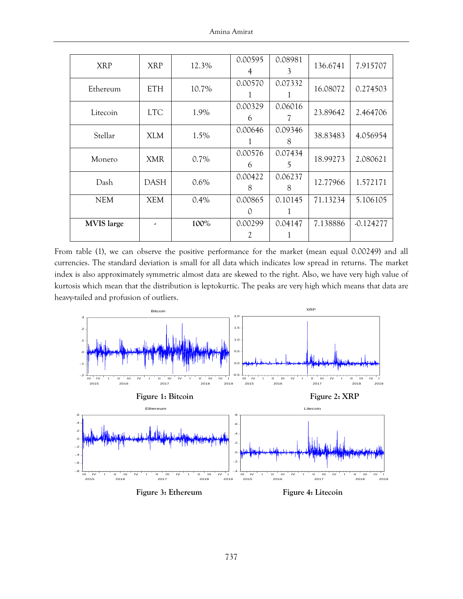| <b>XRP</b>        | <b>XRP</b>  | 12.3%   | 0.00595          | 0.08981 | 136.6741 | 7.915707    |  |
|-------------------|-------------|---------|------------------|---------|----------|-------------|--|
|                   |             |         | 4                | 3       |          |             |  |
| Ethereum          | <b>ETH</b>  | 10.7%   | 0.00570          | 0.07332 | 16.08072 | 0.274503    |  |
|                   |             |         |                  |         |          |             |  |
|                   |             |         | 0.00329          | 0.06016 |          |             |  |
| Litecoin          | <b>LTC</b>  | 1.9%    | 6                |         | 23.89642 | 2.464706    |  |
| Stellar           |             |         | 0.00646          | 0.09346 |          |             |  |
|                   | XLM.        | 1.5%    |                  | 8       | 38.83483 | 4.056954    |  |
|                   | <b>XMR</b>  |         | 0.00576          | 0.07434 |          |             |  |
| Monero            |             | $0.7\%$ | 6                | 5       | 18.99273 | 2.080621    |  |
|                   |             |         | 0.00422          | 0.06237 |          |             |  |
| Dash              | <b>DASH</b> | $0.6\%$ | 8                | 8       | 12.77966 | 1.572171    |  |
| <b>NEM</b>        | <b>XEM</b>  | 0.4%    | 0.00865          | 0.10145 | 71.13234 | 5.106105    |  |
|                   |             |         | $\left( \right)$ |         |          |             |  |
| <b>MVIS</b> large |             | 100%    | 0.00299          | 0.04147 | 7.138886 | $-0.124277$ |  |
|                   |             |         | 2                |         |          |             |  |

From table (1), we can observe the positive performance for the market (mean equal 0.00249) and all currencies. The standard deviation is small for all data which indicates low spread in returns. The market index is also approximately symmetric almost data are skewed to the right. Also, we have very high value of kurtosis which mean that the distribution is leptokurtic. The peaks are very high which means that data are heavy-tailed and profusion of outliers.

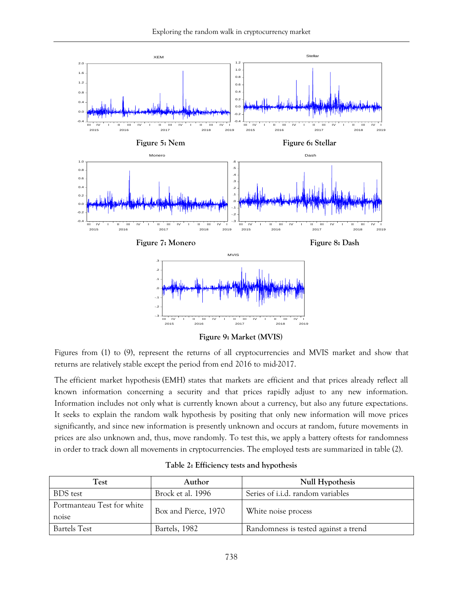

Figures from (1) to (9), represent the returns of all cryptocurrencies and MVIS market and show that returns are relatively stable except the period from end 2016 to mid-2017.

The efficient market hypothesis (EMH) states that markets are efficient and that prices already reflect all known information concerning a security and that prices rapidly adjust to any new information. Information includes not only what is currently known about a currency, but also any future expectations. It seeks to explain the random walk hypothesis by positing that only new information will move prices significantly, and since new information is presently unknown and occurs at random, future movements in prices are also unknown and, thus, move randomly. To test this, we apply a battery oftests for randomness in order to track down all movements in cryptocurrencies. The employed tests are summarized in table (2).

| Test                                | Author               | <b>Null Hypothesis</b>                   |
|-------------------------------------|----------------------|------------------------------------------|
| <b>BDS</b> test                     | Brock et al. 1996    | Series of <i>i.i.d.</i> random variables |
| Portmanteau Test for white<br>noise | Box and Pierce, 1970 | White noise process                      |
| <b>Bartels Test</b>                 | Bartels, 1982        | Randomness is tested against a trend     |

**Table 2: Efficiency tests and hypothesis**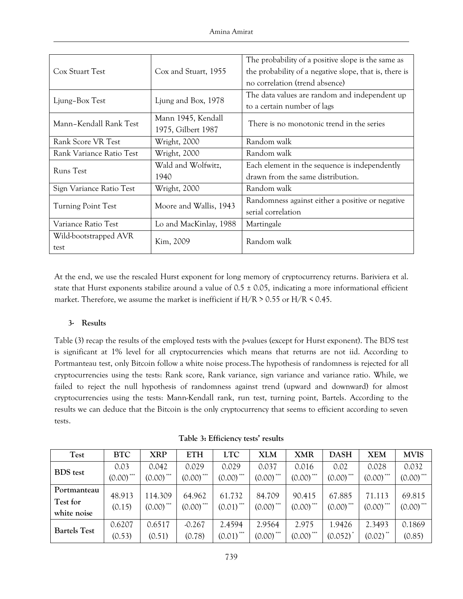| Cox Stuart Test           | Cox and Stuart, 1955   | The probability of a positive slope is the same as<br>the probability of a negative slope, that is, there is |  |  |  |
|---------------------------|------------------------|--------------------------------------------------------------------------------------------------------------|--|--|--|
|                           |                        | no correlation (trend absence)                                                                               |  |  |  |
| Ljung-Box Test            | Ljung and Box, 1978    | The data values are random and independent up                                                                |  |  |  |
|                           |                        | to a certain number of lags                                                                                  |  |  |  |
| Mann-Kendall Rank Test    | Mann 1945, Kendall     | There is no monotonic trend in the series                                                                    |  |  |  |
|                           | 1975, Gilbert 1987     |                                                                                                              |  |  |  |
| Rank Score VR Test        | Wright, 2000           | Random walk                                                                                                  |  |  |  |
| Rank Variance Ratio Test  | Wright, 2000           | Random walk                                                                                                  |  |  |  |
| Runs Test                 | Wald and Wolfwitz,     | Each element in the sequence is independently                                                                |  |  |  |
|                           | 1940                   | drawn from the same distribution.                                                                            |  |  |  |
| Sign Variance Ratio Test  | Wright, 2000           | Random walk                                                                                                  |  |  |  |
| <b>Turning Point Test</b> | Moore and Wallis, 1943 | Randomness against either a positive or negative                                                             |  |  |  |
|                           |                        | serial correlation                                                                                           |  |  |  |
| Variance Ratio Test       | Lo and MacKinlay, 1988 | Martingale                                                                                                   |  |  |  |
| Wild-bootstrapped AVR     | Kim, 2009              | Random walk                                                                                                  |  |  |  |
| test                      |                        |                                                                                                              |  |  |  |

At the end, we use the rescaled Hurst exponent for long memory of cryptocurrency returns. Bariviera et al. state that Hurst exponents stabilize around a value of  $0.5 \pm 0.05$ , indicating a more informational efficient market. Therefore, we assume the market is inefficient if  $H/R > 0.55$  or  $H/R < 0.45$ .

## **3- Results**

Table (3) recap the results of the employed tests with the *p*-values (except for Hurst exponent). The BDS test is significant at 1% level for all cryptocurrencies which means that returns are not iid. According to Portmanteau test, only Bitcoin follow a white noise process.The hypothesis of randomness is rejected for all cryptocurrencies using the tests: Rank score, Rank variance, sign variance and variance ratio. While, we failed to reject the null hypothesis of randomness against trend (upward and downward) for almost cryptocurrencies using the tests: Mann-Kendall rank, run test, turning point, Bartels. According to the results we can deduce that the Bitcoin is the only cryptocurrency that seems to efficient according to seven tests.

|  | Table 3: Efficiency tests' results |  |  |
|--|------------------------------------|--|--|
|--|------------------------------------|--|--|

| <b>Test</b>         | <b>BTC</b>    | <b>XRP</b>              | <b>ETH</b>              | <b>LTC</b>              | <b>XLM</b>              | <b>XMR</b>              | <b>DASH</b>             | <b>XEM</b>             | <b>MVIS</b>             |
|---------------------|---------------|-------------------------|-------------------------|-------------------------|-------------------------|-------------------------|-------------------------|------------------------|-------------------------|
|                     | 0.03          | 0.042                   | 0.029                   | 0.029                   | 0.037                   | 0.016                   | 0.02                    | 0.028                  | 0.032                   |
| <b>BDS</b> test     | ***<br>(0.00) | $(0.00)$ <sup>***</sup> | $(0.00)$ ***            | $(0.00)$ <sup>***</sup> | $(0.00)$ <sup>***</sup> | $(0.00)$ <sup>***</sup> | $(0.00)$ <sup>***</sup> | ***<br>(0.00)          | $(0.00)$ <sup>***</sup> |
| Portmanteau         | 48.913        | 114.309                 | 64.962                  | 61.732                  | 84.709                  | 90.415                  | 67.885                  | 71.113                 | 69.815                  |
| Test for            |               |                         |                         |                         |                         |                         |                         |                        |                         |
| white noise         | (0.15)        | $(0.00)$ <sup>***</sup> | $(0.00)$ <sup>***</sup> | $(0.01)$ <sup>***</sup> | $(0.00)$ <sup>***</sup> | $(0.00)$ <sup>***</sup> | $(0.00)$ <sup>***</sup> | (0.00)                 | (0.00)                  |
|                     | 0.6207        | 0.6517                  | $-0.267$                | 2.4594                  | 2.9564                  | 2.975                   | 1.9426                  | 2.3493                 | 0.1869                  |
| <b>Bartels Test</b> | (0.53)        | (0.51)                  | (0.78)                  | $(0.01)$ <sup>***</sup> | $(0.00)$ <sup>***</sup> | $(0.00)$ <sup>***</sup> | (0.052)                 | $(0.02)$ <sup>**</sup> | (0.85)                  |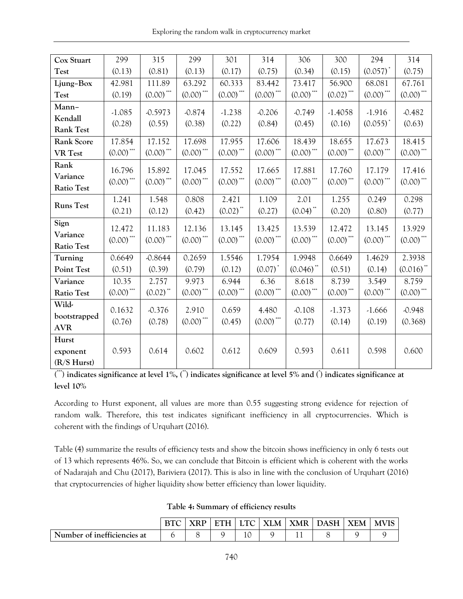Exploring the random walk in cryptocurrency market

| Cox Stuart        | 299                        | 315                        | 299          | 301                                     | 314                                     | 306                                     | 300                        | 294                        | 314                                                                   |
|-------------------|----------------------------|----------------------------|--------------|-----------------------------------------|-----------------------------------------|-----------------------------------------|----------------------------|----------------------------|-----------------------------------------------------------------------|
| <b>Test</b>       | (0.13)                     | (0.81)                     | (0.13)       | (0.17)                                  | (0.75)                                  | (0.34)                                  | (0.15)                     | $(0.057)^*$                | (0.75)                                                                |
| Ljung-Box         | 42.981                     | 111.89                     | 63.292       | 60.333                                  | 83.442                                  | 73.417                                  | 56.900                     | 68.081                     | 67.761                                                                |
| <b>Test</b>       | (0.19)                     | $\left(0.00\right) ^{***}$ | $(0.00)$ *** | $(0.00)$ ***                            | $(0.00)$ ***                            | $\left( 0.00\right) ^{\ast \ast \ast }$ | $(0.02)$ ***               | $\left(0.00\right) ^{***}$ | $(0.00)$ ***                                                          |
| Mann-             | $-1.085$                   | $-0.5973$                  | $-0.874$     | $-1.238$                                | $-0.206$                                | $-0.749$                                | $-1.4058$                  | $-1.916$                   | $-0.482$                                                              |
| Kendall           | (0.28)                     | (0.55)                     | (0.38)       | (0.22)                                  | (0.84)                                  | (0.45)                                  | (0.16)                     | $(0.055)^*$                | (0.63)                                                                |
| <b>Rank Test</b>  |                            |                            |              |                                         |                                         |                                         |                            |                            |                                                                       |
| <b>Rank Score</b> | 17.854                     | 17.152                     | 17.698       | 17.955                                  | 17.606                                  | 18.439                                  | 18.655                     | 17.673                     | 18.415                                                                |
| <b>VR</b> Test    | $(0.00)$ ***               | $(0.00)$ ***               | $(0.00)$ *** | $\left( 0.00\right) ^{\ast \ast \ast }$ | $(0.00)$ ***                            | $\left(0.00\right)^{***}$               | $\left(0.00\right) ^{***}$ | $(0.00)$ ***               | $(0.00)$ ***                                                          |
| Rank              | 16.796                     | 15.892                     | 17.045       | 17.552                                  | 17.665                                  | 17.881                                  | 17.760                     | 17.179                     | 17.416                                                                |
| Variance          | $(0.00)$ ***               | $(0.00)$ ***               | $(0.00)$ *** | $\left(0.00\right) ^{***}$              | $(0.00)$ ***                            | $(0.00)$ ***                            | $(0.00)$ ***               | $(0.00)$ ***               | $(0.00)$ ***                                                          |
| <b>Ratio Test</b> |                            |                            |              |                                         |                                         |                                         |                            |                            |                                                                       |
| <b>Runs Test</b>  | 1.241                      | 1.548                      | 0.808        | 2.421                                   | 1.109                                   | 2.01                                    | 1.255                      | 0.249                      | 0.298                                                                 |
|                   | (0.21)                     | (0.12)                     | (0.42)       | $(0.02)$ **                             | (0.27)                                  | $(0.04)$ **                             | (0.20)                     | (0.80)                     | (0.77)                                                                |
| Sign              | 12.472                     | 11.183                     | 12.136       | 13.145                                  | 13.425                                  | 13.539                                  | 12.472                     | 13.145                     | 13.929                                                                |
| Variance          | $\left(0.00\right) ^{***}$ | $(0.00)$ ***               | $(0.00)$ *** | $\left(0.00\right)^{***}$               | $\left(0.00\right)^{***}$               | $\left(0.00\right)^{***}$               | $\left(0.00\right)^{***}$  | $\left(0.00\right)^{***}$  | $(0.00)$ ***                                                          |
| <b>Ratio Test</b> |                            |                            |              |                                         |                                         |                                         |                            |                            |                                                                       |
| Turning           | 0.6649                     | $-0.8644$                  | 0.2659       | 1.5546                                  | 1.7954                                  | 1.9948                                  | 0.6649                     | 1.4629                     | 2.3938                                                                |
| Point Test        | (0.51)                     | (0.39)                     | (0.79)       | (0.12)                                  | $(0.07)^*$                              | $(0.046)$ **                            | (0.51)                     | (0.14)                     | $(0.016)$ <sup>**</sup>                                               |
| Variance          | 10.35                      | 2.757                      | 9.973        | 6.944                                   | 6.36                                    | 8.618                                   | 8.739                      | 3.549                      | 8.759                                                                 |
| <b>Ratio Test</b> | $\left(0.00\right) ^{***}$ | $(0.02)$ **                | $(0.00)$ *** | $\left( 0.00\right) ^{\ast \ast \ast }$ | $\left( 0.00\right) ^{\ast \ast \ast }$ | $\left( 0.00\right) ^{\ast \ast \ast }$ | $\left(0.00\right)^{***}$  | $\left(0.00\right)^{***}$  | $\left(0.00\right)$ $\hspace{0.1cm}\raisebox{0.5ex}{\scriptsize{*}}}$ |
| Wild-             | 0.1632                     | $-0.376$                   | 2.910        | 0.659                                   | 4.480                                   | $-0.108$                                | $-1.373$                   | $-1.666$                   | $-0.948$                                                              |
| bootstrapped      | (0.76)                     | (0.78)                     | $(0.00)$ *** | (0.45)                                  | $\left(0.00\right)^{***}$               | (0.77)                                  | (0.14)                     | (0.19)                     | (0.368)                                                               |
| <b>AVR</b>        |                            |                            |              |                                         |                                         |                                         |                            |                            |                                                                       |
| Hurst             |                            |                            |              |                                         |                                         |                                         |                            |                            |                                                                       |
| exponent          | 0.593                      | 0.614                      | 0.602        | 0.612                                   | 0.609                                   | 0.593                                   | 0.611                      | 0.598                      | 0.600                                                                 |
| (R/S Hurst)       |                            |                            |              |                                         |                                         |                                         |                            |                            |                                                                       |

**( \*\*\*) indicates significance at level 1%, (\*\*) indicates significance at level 5% and (\* ) indicates significance at level 10%**

According to Hurst exponent, all values are more than 0.55 suggesting strong evidence for rejection of random walk. Therefore, this test indicates significant inefficiency in all cryptocurrencies. Which is coherent with the findings of Urquhart (2016).

Table (4) summarize the results of efficiency tests and show the bitcoin shows inefficiency in only 6 tests out of 13 which represents 46%. So, we can conclude that Bitcoin is efficient which is coherent with the works of Nadarajah and Chu (2017), Bariviera (2017). This is also in line with the conclusion of Urquhart (2016) that cryptocurrencies of higher liquidity show better efficiency than lower liquidity.

**Table 4: Summary of efficiency results** 

|                             | <b>YRD</b> | <b>FTH</b> | LTC   XLM | XMR I | <b>DASH</b> | $\overline{\phantom{a}}$ XEM | <b>MVIS</b> |
|-----------------------------|------------|------------|-----------|-------|-------------|------------------------------|-------------|
| Number of inefficiencies at |            |            |           |       |             |                              |             |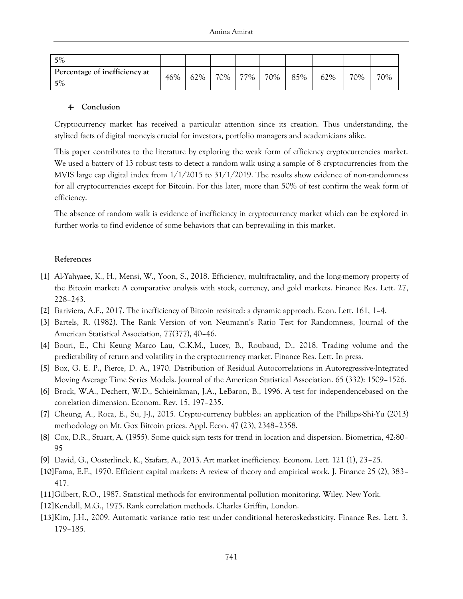| 5%                                     |     |     |     |     |     |     |     |     |     |
|----------------------------------------|-----|-----|-----|-----|-----|-----|-----|-----|-----|
| Percentage of inefficiency at<br>$5\%$ | 46% | 62% | 70% | 77% | 70% | 85% | 62% | 70% | 70% |

#### **4- Conclusion**

Cryptocurrency market has received a particular attention since its creation. Thus understanding, the stylized facts of digital moneyis crucial for investors, portfolio managers and academicians alike.

This paper contributes to the literature by exploring the weak form of efficiency cryptocurrencies market. We used a battery of 13 robust tests to detect a random walk using a sample of 8 cryptocurrencies from the MVIS large cap digital index from 1/1/2015 to 31/1/2019. The results show evidence of non-randomness for all cryptocurrencies except for Bitcoin. For this later, more than 50% of test confirm the weak form of efficiency.

The absence of random walk is evidence of inefficiency in cryptocurrency market which can be explored in further works to find evidence of some behaviors that can beprevailing in this market.

#### **References**

- **[1]** Al-Yahyaee, K., H., Mensi, W., Yoon, S., 2018. Efficiency, multifractality, and the long-memory property of the Bitcoin market: A comparative analysis with stock, currency, and gold markets. Finance Res. Lett. 27, 228–243.
- **[2]** Bariviera, A.F., 2017. The inefficiency of Bitcoin revisited: a dynamic approach. Econ. Lett. 161, 1–4.
- **[3]** Bartels, R. (1982). The Rank Version of von Neumann's Ratio Test for Randomness, Journal of the American Statistical Association, 77(377), 40–46.
- **[4]** Bouri, E., Chi Keung Marco Lau, C.K.M., Lucey, B., Roubaud, D., 2018. Trading volume and the predictability of return and volatility in the cryptocurrency market. Finance Res. Lett. In press.
- **[5]** Box, G. E. P., Pierce, D. A., 1970. Distribution of Residual Autocorrelations in Autoregressive-Integrated Moving Average Time Series Models. [Journal of the American Statistical Association.](https://en.wikipedia.org/wiki/Journal_of_the_American_Statistical_Association) 65 (332): 1509–1526.
- **[6]** Brock, W.A., Dechert, W.D., Schieinkman, J.A., LeBaron, B., 1996. A test for independencebased on the correlation dimension. Econom. Rev. 15, 197–235.
- **[7]** Cheung, A., Roca, E., Su, J-J., 2015. Crypto-currency bubbles: an application of the Phillips-Shi-Yu (2013) methodology on Mt. Gox Bitcoin prices. Appl. Econ. 47 (23), 2348–2358.
- **[8]** Cox, D.R., Stuart, A. (1955). Some quick sign tests for trend in location and dispersion. Biometrica, 42:80– 95
- **[9]** David, G., Oosterlinck, K., Szafarz, A., 2013. Art market inefficiency. Econom. Lett. 121 (1), 23–25.
- **[10]**Fama, E.F., 1970. Efficient capital markets: A review of theory and empirical work. J. Finance 25 (2), 383– 417.
- **[11]**Gilbert, R.O., 1987. Statistical methods for environmental pollution monitoring. Wiley. New York.
- **[12]**Kendall, M.G., 1975. Rank correlation methods. Charles Griffin, London.
- **[13]**Kim, J.H., 2009. Automatic variance ratio test under conditional heteroskedasticity. Finance Res. Lett. 3, 179–185.